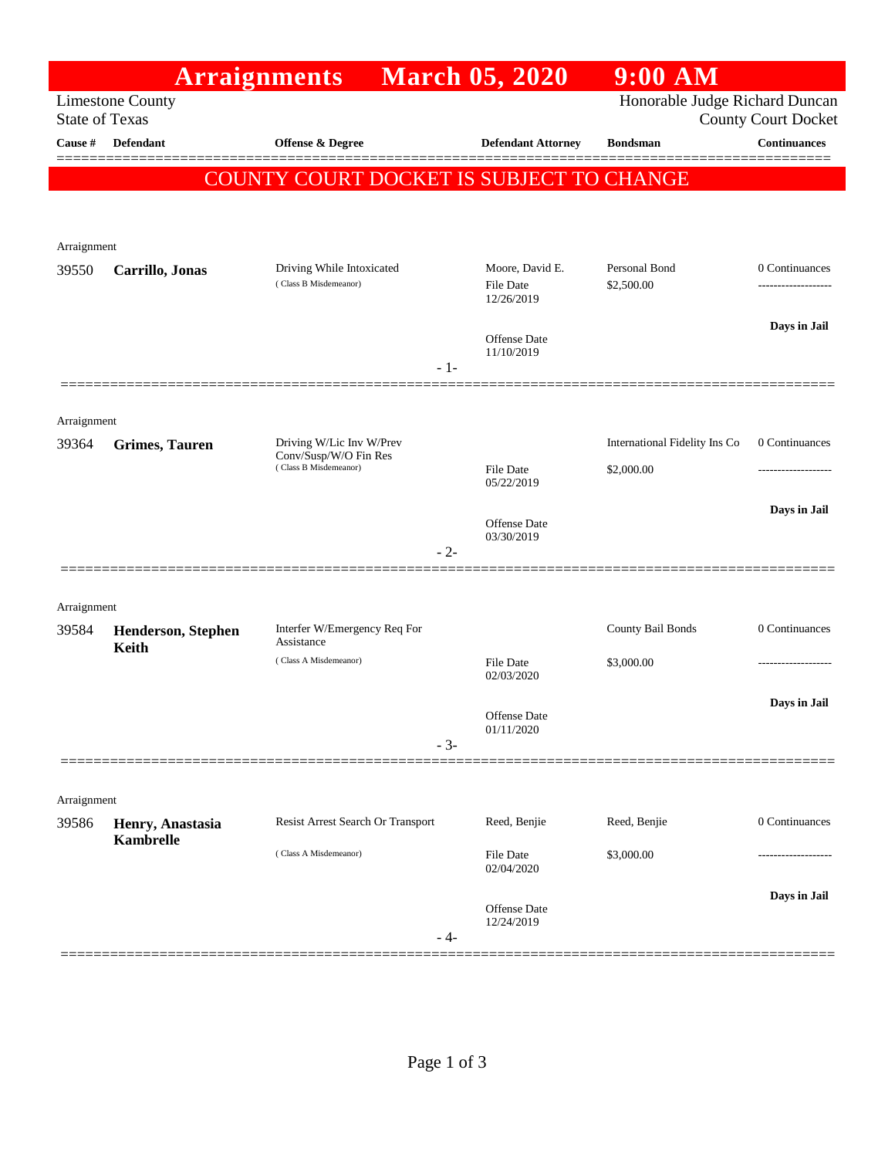|                       |                                      | <b>Arraignments</b>                                                                 | <b>March 05, 2020</b>                                        | $9:00$ AM                                   |                                      |
|-----------------------|--------------------------------------|-------------------------------------------------------------------------------------|--------------------------------------------------------------|---------------------------------------------|--------------------------------------|
| <b>State of Texas</b> | <b>Limestone County</b>              |                                                                                     | Honorable Judge Richard Duncan<br><b>County Court Docket</b> |                                             |                                      |
| Cause #               | <b>Defendant</b>                     | <b>Offense &amp; Degree</b>                                                         | <b>Defendant Attorney</b>                                    | <b>Bondsman</b>                             | <b>Continuances</b>                  |
|                       |                                      | COUNTY COURT DOCKET IS SUBJECT TO CHANGE                                            |                                                              |                                             |                                      |
| Arraignment           |                                      |                                                                                     |                                                              |                                             |                                      |
| 39550                 | Carrillo, Jonas                      | Driving While Intoxicated<br>(Class B Misdemeanor)<br>$-1-$                         | Moore, David E.<br><b>File Date</b><br>12/26/2019            | Personal Bond<br>\$2,500.00                 | 0 Continuances<br>------------------ |
|                       |                                      |                                                                                     | <b>Offense</b> Date<br>11/10/2019                            |                                             | Days in Jail                         |
| Arraignment           |                                      |                                                                                     |                                                              |                                             |                                      |
| 39364                 | <b>Grimes, Tauren</b>                | Driving W/Lic Inv W/Prev<br>Conv/Susp/W/O Fin Res<br>(Class B Misdemeanor)<br>$-2-$ | <b>File Date</b><br>05/22/2019                               | International Fidelity Ins Co<br>\$2,000.00 | 0 Continuances                       |
|                       |                                      |                                                                                     | Offense Date<br>03/30/2019                                   |                                             | Days in Jail                         |
| Arraignment           |                                      |                                                                                     |                                                              |                                             |                                      |
| 39584                 | Henderson, Stephen<br>Keith          | Interfer W/Emergency Req For<br>Assistance                                          |                                                              | County Bail Bonds                           | 0 Continuances                       |
|                       |                                      | (Class A Misdemeanor)                                                               | <b>File Date</b><br>02/03/2020                               | \$3,000.00                                  |                                      |
|                       |                                      | $-3-$                                                                               | Offense Date<br>01/11/2020                                   |                                             | Days in Jail                         |
| Arraignment           |                                      |                                                                                     |                                                              |                                             |                                      |
| 39586                 | Henry, Anastasia<br><b>Kambrelle</b> | Resist Arrest Search Or Transport                                                   | Reed, Benjie                                                 | Reed, Benjie                                | 0 Continuances                       |
|                       |                                      | (Class A Misdemeanor)                                                               | File Date<br>02/04/2020                                      | \$3,000.00                                  |                                      |
|                       |                                      | - 4-                                                                                | Offense Date<br>12/24/2019                                   |                                             | Days in Jail                         |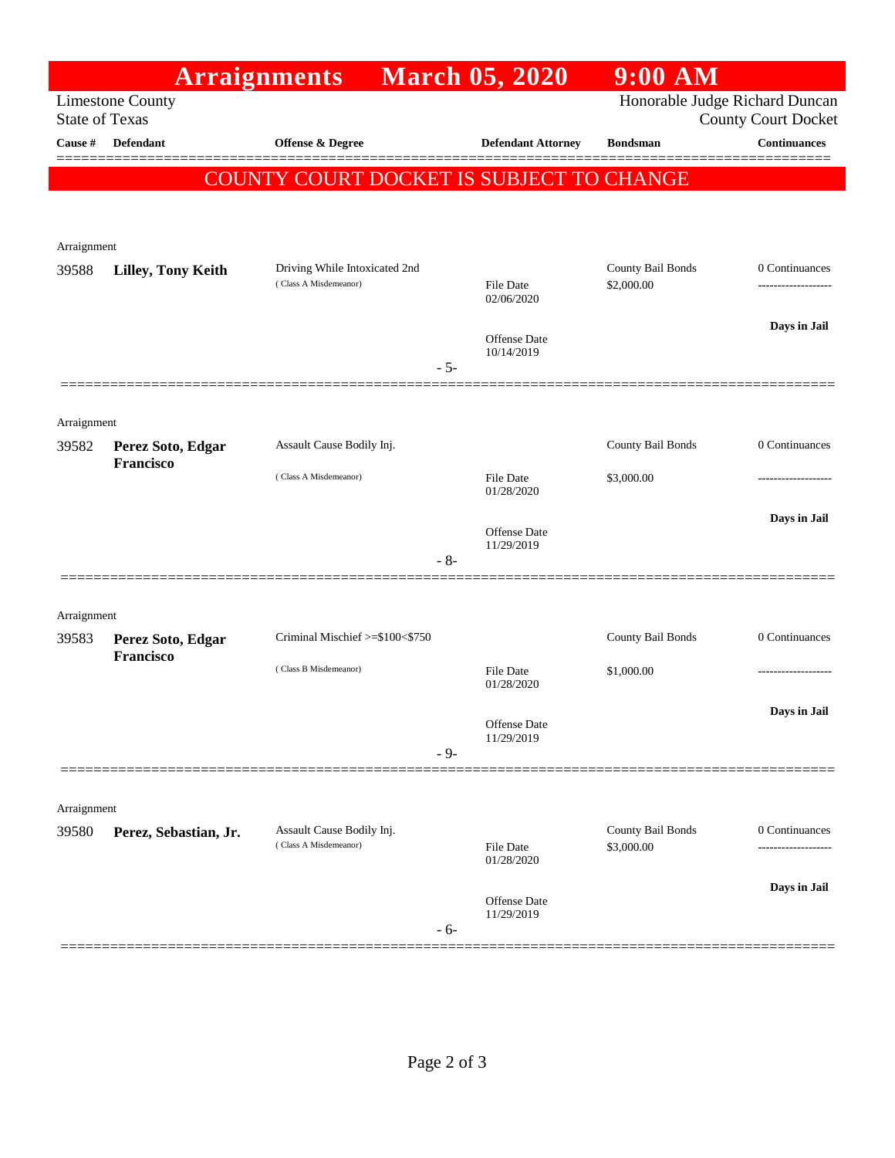|                                                  |                                | <b>Arraignments</b>                                    | <b>March 05, 2020</b>                                        | $9:00$ AM                       |                     |
|--------------------------------------------------|--------------------------------|--------------------------------------------------------|--------------------------------------------------------------|---------------------------------|---------------------|
| <b>Limestone County</b><br><b>State of Texas</b> |                                |                                                        | Honorable Judge Richard Duncan<br><b>County Court Docket</b> |                                 |                     |
| Cause #                                          | Defendant                      | Offense & Degree                                       | <b>Defendant Attorney</b>                                    | <b>Bondsman</b>                 | <b>Continuances</b> |
|                                                  |                                | COUNTY COURT DOCKET IS SUBJECT TO CHANGE               |                                                              |                                 |                     |
|                                                  |                                |                                                        |                                                              |                                 |                     |
| Arraignment                                      |                                |                                                        |                                                              |                                 |                     |
| 39588                                            | Lilley, Tony Keith             | Driving While Intoxicated 2nd<br>(Class A Misdemeanor) | <b>File Date</b>                                             | County Bail Bonds<br>\$2,000.00 | 0 Continuances      |
|                                                  |                                |                                                        | 02/06/2020                                                   |                                 |                     |
|                                                  |                                |                                                        | Offense Date                                                 |                                 | Days in Jail        |
|                                                  |                                | $-5-$                                                  | 10/14/2019                                                   |                                 |                     |
|                                                  |                                |                                                        |                                                              |                                 |                     |
| Arraignment                                      |                                |                                                        |                                                              |                                 |                     |
| 39582                                            | Perez Soto, Edgar<br>Francisco | Assault Cause Bodily Inj.                              |                                                              | County Bail Bonds               | 0 Continuances      |
|                                                  |                                | (Class A Misdemeanor)                                  | <b>File Date</b><br>01/28/2020                               | \$3,000.00                      |                     |
|                                                  |                                |                                                        | Offense Date                                                 |                                 | Days in Jail        |
|                                                  |                                | $-8-$                                                  | 11/29/2019                                                   |                                 |                     |
|                                                  |                                |                                                        |                                                              |                                 |                     |
| Arraignment                                      |                                |                                                        |                                                              |                                 |                     |
| 39583                                            | Perez Soto, Edgar<br>Francisco | Criminal Mischief >=\$100<\$750                        |                                                              | County Bail Bonds               | 0 Continuances      |
|                                                  |                                | (Class B Misdemeanor)                                  | File Date<br>01/28/2020                                      | \$1,000.00                      |                     |
|                                                  |                                |                                                        | Offense Date                                                 |                                 | Days in Jail        |
|                                                  |                                | $-9-$                                                  | 11/29/2019                                                   |                                 |                     |
|                                                  |                                |                                                        |                                                              |                                 |                     |
| Arraignment                                      |                                |                                                        |                                                              |                                 |                     |
| 39580                                            | Perez, Sebastian, Jr.          | Assault Cause Bodily Inj.<br>(Class A Misdemeanor)     | File Date                                                    | County Bail Bonds<br>\$3,000.00 | 0 Continuances      |
|                                                  |                                |                                                        | 01/28/2020                                                   |                                 | Days in Jail        |
|                                                  |                                | $-6-$                                                  | Offense Date<br>11/29/2019                                   |                                 |                     |
|                                                  |                                |                                                        |                                                              |                                 |                     |